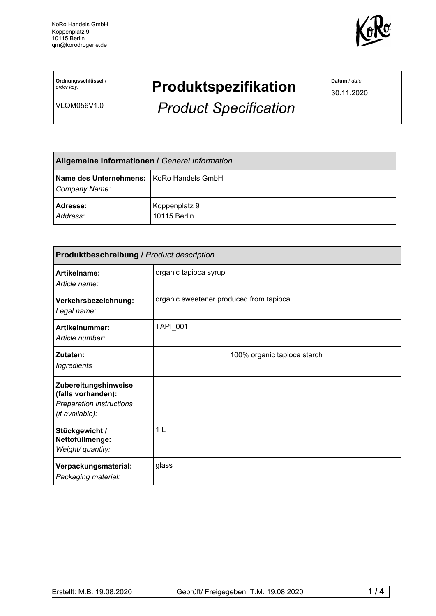

**Ordnungsschlüssel** / *order key:*

VLQM056V1.0

## **Produktspezifikation**

*Product Specification*

**Datum** / *date:*

30.11.2020

| Allgemeine Informationen / General Information            |                               |  |
|-----------------------------------------------------------|-------------------------------|--|
| Name des Unternehmens: KoRo Handels GmbH<br>Company Name: |                               |  |
| <b>Adresse:</b><br>Address:                               | Koppenplatz 9<br>10115 Berlin |  |

| Produktbeschreibung / Product description                                                 |                                         |  |
|-------------------------------------------------------------------------------------------|-----------------------------------------|--|
| Artikelname:<br>Article name:                                                             | organic tapioca syrup                   |  |
| Verkehrsbezeichnung:<br>Legal name:                                                       | organic sweetener produced from tapioca |  |
| Artikelnummer:<br>Article number:                                                         | <b>TAPI 001</b>                         |  |
| Zutaten:<br><b>Ingredients</b>                                                            | 100% organic tapioca starch             |  |
| Zubereitungshinweise<br>(falls vorhanden):<br>Preparation instructions<br>(if available): |                                         |  |
| Stückgewicht /<br>Nettofüllmenge:<br>Weight/ quantity:                                    | 1 <sup>1</sup>                          |  |
| Verpackungsmaterial:<br>Packaging material:                                               | glass                                   |  |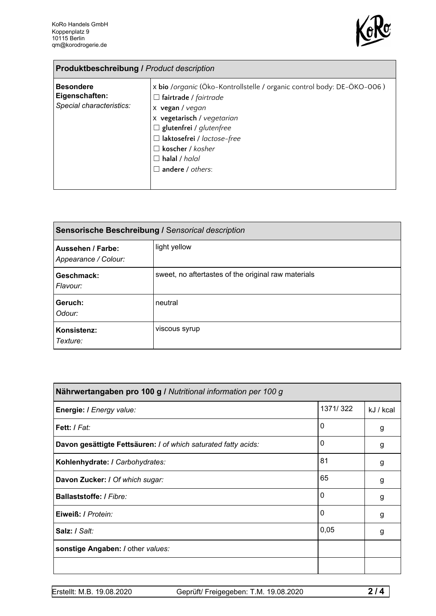

| <b>Produktbeschreibung / Product description</b>               |                                                                                                                                                                                                                                                                                  |  |
|----------------------------------------------------------------|----------------------------------------------------------------------------------------------------------------------------------------------------------------------------------------------------------------------------------------------------------------------------------|--|
| <b>Besondere</b><br>Eigenschaften:<br>Special characteristics: | x bio /organic (Öko-Kontrollstelle / organic control body: DE-ÖKO-006)<br>$\Box$ fairtrade / fairtrade<br>x vegan / vegan<br>x vegetarisch / vegetarian<br>$\Box$ glutenfrei / glutenfree<br>laktosefrei / lactose-free<br>koscher / kosher<br>halal / halal<br>andere / others: |  |

| Sensorische Beschreibung / Sensorical description |                                                     |  |
|---------------------------------------------------|-----------------------------------------------------|--|
| Aussehen / Farbe:<br>Appearance / Colour:         | light yellow                                        |  |
| Geschmack:<br>Flavour:                            | sweet, no aftertastes of the original raw materials |  |
| Geruch:<br>Odour:                                 | neutral                                             |  |
| Konsistenz:<br>Texture:                           | viscous syrup                                       |  |

| Nährwertangaben pro 100 g / Nutritional information per 100 g  |          |           |
|----------------------------------------------------------------|----------|-----------|
| Energie: I Energy value:                                       | 1371/322 | kJ / kcal |
| Fett: / Fat:                                                   | 0        | g         |
| Davon gesättigte Fettsäuren: I of which saturated fatty acids: | 0        | g         |
| Kohlenhydrate: I Carbohydrates:                                | 81       | g         |
| Davon Zucker: I Of which sugar:                                | 65       | g         |
| Ballaststoffe: / Fibre:                                        | 0        | g         |
| Eiweiß: / Protein:                                             | 0        | g         |
| Salz: / Salt:                                                  | 0,05     | g         |
| sonstige Angaben: / other values:                              |          |           |
|                                                                |          |           |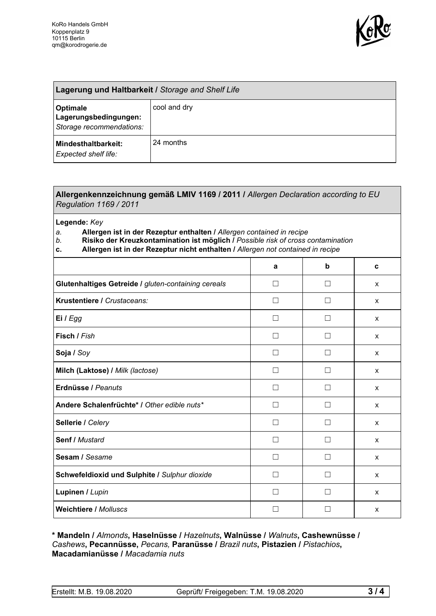

| Lagerung und Haltbarkeit / Storage and Shelf Life                    |              |  |
|----------------------------------------------------------------------|--------------|--|
| <b>Optimale</b><br>Lagerungsbedingungen:<br>Storage recommendations: | cool and dry |  |
| Mindesthaltbarkeit:<br><b>Expected shelf life:</b>                   | 24 months    |  |

## **Allergenkennzeichnung gemäß LMIV 1169 / 2011 /** *Allergen Declaration according to EU Regulation 1169 / 2011*

**Legende:** *Key*

*a.* **Allergen ist in der Rezeptur enthalten /** *Allergen contained in recipe*

- *b.* **Risiko der Kreuzkontamination ist möglich /** *Possible risk of cross contamination*
- **c. Allergen ist in der Rezeptur nicht enthalten /** *Allergen not contained in recipe*

|                                                     | a            | b                        | C            |
|-----------------------------------------------------|--------------|--------------------------|--------------|
| Glutenhaltiges Getreide / gluten-containing cereals | П            | П                        | $\mathsf{x}$ |
| Krustentiere / Crustaceans:                         | П            | П                        | X            |
| Ei / Egg                                            | $\mathsf{L}$ | $\vert \ \ \vert$        | $\mathsf{x}$ |
| Fisch / Fish                                        | П            | $\vert \ \ \vert$        | X            |
| Soja / Soy                                          | $\mathsf{L}$ | $\mathsf{L}$             | $\mathsf{x}$ |
| Milch (Laktose) / Milk (lactose)                    | П            | П                        | X            |
| Erdnüsse / Peanuts                                  | П            | $\mathsf{L}$             | $\mathsf{x}$ |
| Andere Schalenfrüchte* / Other edible nuts*         | П            | П                        | X            |
| Sellerie / Celery                                   | П            | П                        | X            |
| Senf / Mustard                                      | П            | П                        | X            |
| Sesam / Sesame                                      | $\mathsf{L}$ | П                        | X            |
| Schwefeldioxid und Sulphite / Sulphur dioxide       | $\mathsf{L}$ | $\vert \ \ \vert$        | X            |
| Lupinen / Lupin                                     |              | $\overline{\phantom{a}}$ | X            |
| <b>Weichtiere / Molluscs</b>                        | $\mathbf{I}$ |                          | X            |

## **\* Mandeln /** *Almonds***, Haselnüsse /** *Hazelnuts***, Walnüsse /** *Walnuts***, Cashewnüsse /** *Cashews***, Pecannüsse,** *Pecans,* **Paranüsse /** *Brazil nuts***, Pistazien /** *Pistachios***, Macadamianüsse /** *Macadamia nuts*